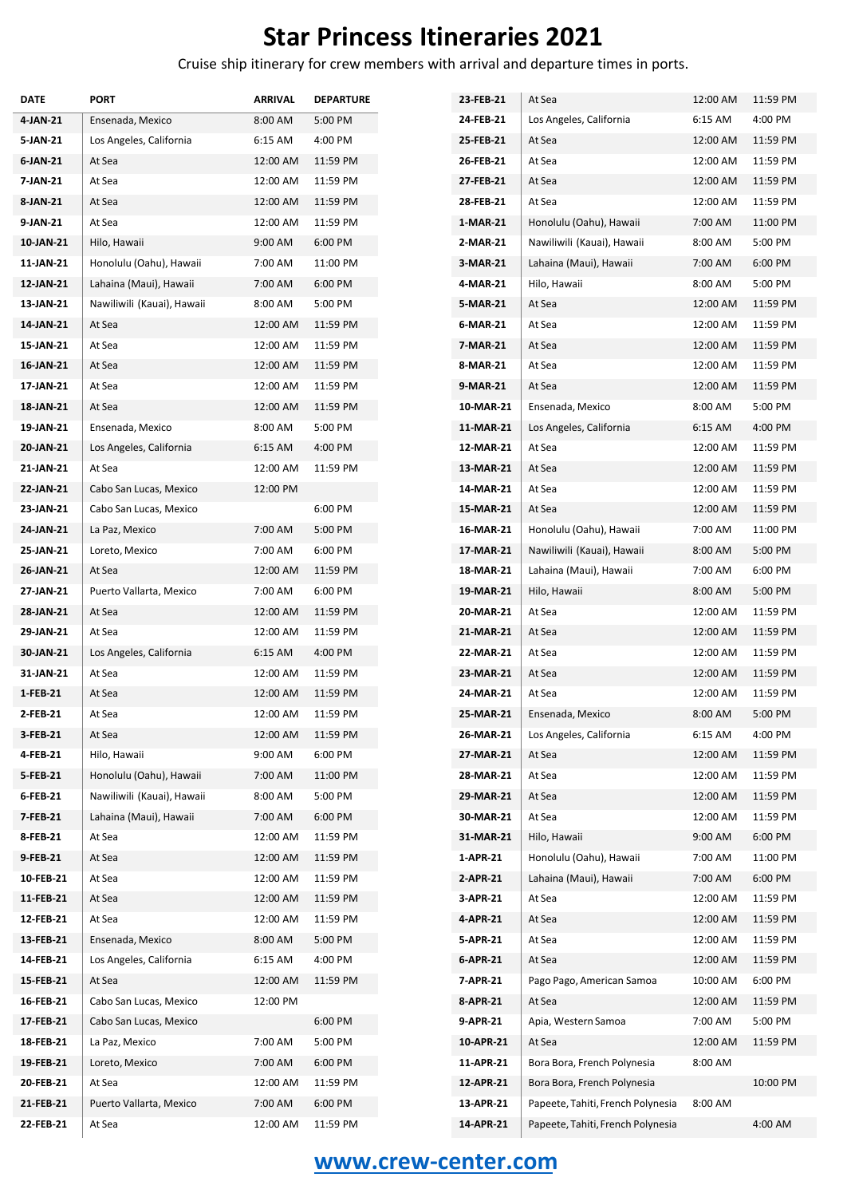## **Star Princess Itineraries 2021**

Cruise ship itinerary for crew members with arrival and departure times in ports.

| 6:15 AM<br>24 FEB-21<br>Los Angeles, California<br>5:00 PM<br>Ensenada, Mexico<br>8:00 AM<br>Los Angeles, California<br>6:15 AM<br>4:00 PM<br>25-FEB-21<br>At Sea<br>12:00 AM<br>12:00 AM<br>11:59 PM<br>26-FEB-21<br>At Sea<br>12:00 AM<br>At Sea<br>12:00 AM<br>At Sea<br>11:59 PM<br>27 FEB-21<br>At Sea<br>12:00 AM<br>12:00 AM<br>At Sea<br>11:59 PM<br>28-FEB-21<br>At Sea<br>12:00 AM<br>At Sea<br>12:00 AM<br>11:59 PM<br>1-MAR-21<br>Honolulu (Oahu), Hawaii<br>7:00 AM<br>Hilo, Hawaii<br>9:00 AM<br>6:00 PM<br>2-MAR-21<br>Nawiliwili (Kauai), Hawaii<br>8:00 AM<br>Honolulu (Oahu), Hawaii<br>7:00 AM<br>11:00 PM<br>3-MAR-21<br>Lahaina (Maui), Hawaii<br>7:00 AM<br>Lahaina (Maui), Hawaii<br>7:00 AM<br>6:00 PM<br>4-MAR-21<br>Hilo, Hawaii<br>8:00 AM<br>Nawiliwili (Kauai), Hawaii<br>8:00 AM<br>5:00 PM<br>5-MAR-21<br>At Sea<br>12:00 AM<br>6-MAR-21<br>At Sea<br>12:00 AM<br>At Sea<br>12:00 AM<br>11:59 PM<br>At Sea<br>12:00 AM<br>11:59 PM<br>7-MAR-21<br>At Sea<br>12:00 AM<br>At Sea<br>12:00 AM<br>11:59 PM<br>8-MAR-21<br>At Sea<br>12:00 AM<br>12:00 AM<br>At Sea<br>11:59 PM<br>9-MAR-21<br>At Sea<br>12:00 AM<br>12:00 AM<br>At Sea<br>11:59 PM<br>10-MAR-21<br>Ensenada, Mexico<br>8:00 AM<br>Ensenada, Mexico<br>8:00 AM<br>5:00 PM<br>11-MAR-21<br>Los Angeles, California<br>6:15 AM<br>Los Angeles, California<br>6:15 AM<br>4:00 PM<br>12-MAR-21<br>At Sea<br>12:00 AM<br>At Sea<br>12:00 AM<br>11:59 PM<br>13-MAR-21<br>At Sea<br>12:00 AM<br>14-MAR-21<br>12:00 PM<br>At Sea<br>12:00 AM<br>Cabo San Lucas, Mexico<br>6:00 PM<br>Cabo San Lucas, Mexico<br>15-MAR-21<br>At Sea<br>12:00 AM<br>5:00 PM<br>16-MAR-21<br>Honolulu (Oahu), Hawaii<br>7:00 AM<br>7:00 AM<br>La Paz, Mexico<br>Loreto, Mexico<br>7:00 AM<br>6:00 PM<br>17-MAR-21<br>Nawiliwili (Kauai), Hawaii<br>8:00 AM<br>At Sea<br>12:00 AM<br>11:59 PM<br>18-MAR-21<br>Lahaina (Maui), Hawaii<br>7:00 AM<br>7:00 AM<br>6:00 PM<br>Puerto Vallarta, Mexico<br>19-MAR-21<br>Hilo, Hawaii<br>8:00 AM<br>12:00 AM<br>11:59 PM<br>20-MAR-21<br>At Sea<br>12:00 AM<br>At Sea<br>12:00 AM<br>At Sea<br>11:59 PM<br>21-MAR-21<br>At Sea<br>12:00 AM<br>Los Angeles, California<br>6:15 AM<br>4:00 PM<br>22-MAR-21<br>At Sea<br>12:00 AM<br>At Sea<br>12:00 AM<br>11:59 PM<br>23-MAR-21<br>At Sea<br>12:00 AM<br>24-MAR-21<br>At Sea<br>12:00 AM<br>11:59 PM<br>At Sea<br>12:00 AM<br>12:00 AM<br>At Sea<br>11:59 PM<br>25-MAR-21<br>Ensenada, Mexico<br>8:00 AM<br>6:15 AM<br>12:00 AM<br>11:59 PM<br>26-MAR-21<br>Los Angeles, California<br>At Sea<br>Hilo, Hawaii<br>9:00 AM<br>6:00 PM<br>27-MAR-21<br>At Sea<br>12:00 AM<br>At Sea<br>Honolulu (Oahu), Hawaii<br>7:00 AM<br>11:00 PM<br>28-MAR-21<br>12:00 AM<br>Nawiliwili (Kauai), Hawaii<br>5:00 PM<br>8:00 AM<br>29-MAR-21<br>At Sea<br>12:00 AM<br>30-MAR-21<br>At Sea<br>Lahaina (Maui), Hawaii<br>7:00 AM<br>6:00 PM<br>12:00 AM<br>12:00 AM<br>11:59 PM<br>31-MAR-21<br>9:00 AM<br>At Sea<br>Hilo, Hawaii<br>1-APR-21<br>Honolulu (Oahu), Hawaii<br>At Sea<br>12:00 AM<br>11:59 PM<br>7:00 AM<br>At Sea<br>12:00 AM<br>11:59 PM<br>2-APR-21<br>Lahaina (Maui), Hawaii<br>7:00 AM<br>3-APR-21<br>At Sea<br>12:00 AM<br>11:59 PM<br>At Sea<br>12:00 AM<br>12:00 AM<br>At Sea<br>11:59 PM<br>4-APR-21<br>At Sea<br>12:00 AM<br>5:00 PM<br>5-APR-21<br>At Sea<br>12:00 AM<br>Ensenada, Mexico<br>8:00 AM<br>Los Angeles, California<br>6:15 AM<br>4:00 PM<br>6-APR-21<br>At Sea<br>12:00 AM<br>7-APR-21<br>At Sea<br>12:00 AM<br>11:59 PM<br>Pago Pago, American Samoa<br>10:00 AM<br>Cabo San Lucas, Mexico<br>12:00 PM<br>8-APR-21<br>12:00 AM<br>At Sea<br>9-APR-21<br>Cabo San Lucas, Mexico<br>6:00 PM<br>Apia, Western Samoa<br>7:00 AM<br>7:00 AM<br>5:00 PM<br>10-APR-21<br>La Paz, Mexico<br>At Sea<br>12:00 AM<br>11-APR-21<br>Loreto, Mexico<br>7:00 AM<br>6:00 PM<br>Bora Bora, French Polynesia<br>8:00 AM<br>At Sea<br>12:00 AM<br>11:59 PM<br>12-APR-21<br>Bora Bora, French Polynesia<br>7:00 AM<br>13-APR-21<br>Papeete, Tahiti, French Polynesia<br>8:00 AM<br>Puerto Vallarta, Mexico<br>6:00 PM<br>12:00 AM<br>14-APR-21<br>At Sea<br>11:59 PM<br>Papeete, Tahiti, French Polynesia | DATE      | PORT | <b>ARRIVAL</b> | <b>DEPARTURE</b> | 23-FEB-21 | At Sea | 12:00 AM | 11:59 PM |
|---------------------------------------------------------------------------------------------------------------------------------------------------------------------------------------------------------------------------------------------------------------------------------------------------------------------------------------------------------------------------------------------------------------------------------------------------------------------------------------------------------------------------------------------------------------------------------------------------------------------------------------------------------------------------------------------------------------------------------------------------------------------------------------------------------------------------------------------------------------------------------------------------------------------------------------------------------------------------------------------------------------------------------------------------------------------------------------------------------------------------------------------------------------------------------------------------------------------------------------------------------------------------------------------------------------------------------------------------------------------------------------------------------------------------------------------------------------------------------------------------------------------------------------------------------------------------------------------------------------------------------------------------------------------------------------------------------------------------------------------------------------------------------------------------------------------------------------------------------------------------------------------------------------------------------------------------------------------------------------------------------------------------------------------------------------------------------------------------------------------------------------------------------------------------------------------------------------------------------------------------------------------------------------------------------------------------------------------------------------------------------------------------------------------------------------------------------------------------------------------------------------------------------------------------------------------------------------------------------------------------------------------------------------------------------------------------------------------------------------------------------------------------------------------------------------------------------------------------------------------------------------------------------------------------------------------------------------------------------------------------------------------------------------------------------------------------------------------------------------------------------------------------------------------------------------------------------------------------------------------------------------------------------------------------------------------------------------------------------------------------------------------------------------------------------------------------------------------------------------------------------------------------------------------------------------------------------------------------------------------------------------------------------------------------------------------------------------------------------------------------------------------------------------------------------------------------------------------------------------------------------------------------------------------------------------------------------------------------------------------------------------------------------------------------------------------------------------------------------------------------------------------------------------|-----------|------|----------------|------------------|-----------|--------|----------|----------|
|                                                                                                                                                                                                                                                                                                                                                                                                                                                                                                                                                                                                                                                                                                                                                                                                                                                                                                                                                                                                                                                                                                                                                                                                                                                                                                                                                                                                                                                                                                                                                                                                                                                                                                                                                                                                                                                                                                                                                                                                                                                                                                                                                                                                                                                                                                                                                                                                                                                                                                                                                                                                                                                                                                                                                                                                                                                                                                                                                                                                                                                                                                                                                                                                                                                                                                                                                                                                                                                                                                                                                                                                                                                                                                                                                                                                                                                                                                                                                                                                                                                                                                                                                               | 4-JAN-21  |      |                |                  |           |        |          | 4:00 PM  |
|                                                                                                                                                                                                                                                                                                                                                                                                                                                                                                                                                                                                                                                                                                                                                                                                                                                                                                                                                                                                                                                                                                                                                                                                                                                                                                                                                                                                                                                                                                                                                                                                                                                                                                                                                                                                                                                                                                                                                                                                                                                                                                                                                                                                                                                                                                                                                                                                                                                                                                                                                                                                                                                                                                                                                                                                                                                                                                                                                                                                                                                                                                                                                                                                                                                                                                                                                                                                                                                                                                                                                                                                                                                                                                                                                                                                                                                                                                                                                                                                                                                                                                                                                               | 5-JAN-21  |      |                |                  |           |        |          | 11:59 PM |
|                                                                                                                                                                                                                                                                                                                                                                                                                                                                                                                                                                                                                                                                                                                                                                                                                                                                                                                                                                                                                                                                                                                                                                                                                                                                                                                                                                                                                                                                                                                                                                                                                                                                                                                                                                                                                                                                                                                                                                                                                                                                                                                                                                                                                                                                                                                                                                                                                                                                                                                                                                                                                                                                                                                                                                                                                                                                                                                                                                                                                                                                                                                                                                                                                                                                                                                                                                                                                                                                                                                                                                                                                                                                                                                                                                                                                                                                                                                                                                                                                                                                                                                                                               | 6-JAN-21  |      |                |                  |           |        |          | 11:59 PM |
|                                                                                                                                                                                                                                                                                                                                                                                                                                                                                                                                                                                                                                                                                                                                                                                                                                                                                                                                                                                                                                                                                                                                                                                                                                                                                                                                                                                                                                                                                                                                                                                                                                                                                                                                                                                                                                                                                                                                                                                                                                                                                                                                                                                                                                                                                                                                                                                                                                                                                                                                                                                                                                                                                                                                                                                                                                                                                                                                                                                                                                                                                                                                                                                                                                                                                                                                                                                                                                                                                                                                                                                                                                                                                                                                                                                                                                                                                                                                                                                                                                                                                                                                                               | 7-JAN-21  |      |                |                  |           |        |          | 11:59 PM |
|                                                                                                                                                                                                                                                                                                                                                                                                                                                                                                                                                                                                                                                                                                                                                                                                                                                                                                                                                                                                                                                                                                                                                                                                                                                                                                                                                                                                                                                                                                                                                                                                                                                                                                                                                                                                                                                                                                                                                                                                                                                                                                                                                                                                                                                                                                                                                                                                                                                                                                                                                                                                                                                                                                                                                                                                                                                                                                                                                                                                                                                                                                                                                                                                                                                                                                                                                                                                                                                                                                                                                                                                                                                                                                                                                                                                                                                                                                                                                                                                                                                                                                                                                               | 8-JAN-21  |      |                |                  |           |        |          | 11:59 PM |
|                                                                                                                                                                                                                                                                                                                                                                                                                                                                                                                                                                                                                                                                                                                                                                                                                                                                                                                                                                                                                                                                                                                                                                                                                                                                                                                                                                                                                                                                                                                                                                                                                                                                                                                                                                                                                                                                                                                                                                                                                                                                                                                                                                                                                                                                                                                                                                                                                                                                                                                                                                                                                                                                                                                                                                                                                                                                                                                                                                                                                                                                                                                                                                                                                                                                                                                                                                                                                                                                                                                                                                                                                                                                                                                                                                                                                                                                                                                                                                                                                                                                                                                                                               | 9-JAN-21  |      |                |                  |           |        |          | 11:00 PM |
|                                                                                                                                                                                                                                                                                                                                                                                                                                                                                                                                                                                                                                                                                                                                                                                                                                                                                                                                                                                                                                                                                                                                                                                                                                                                                                                                                                                                                                                                                                                                                                                                                                                                                                                                                                                                                                                                                                                                                                                                                                                                                                                                                                                                                                                                                                                                                                                                                                                                                                                                                                                                                                                                                                                                                                                                                                                                                                                                                                                                                                                                                                                                                                                                                                                                                                                                                                                                                                                                                                                                                                                                                                                                                                                                                                                                                                                                                                                                                                                                                                                                                                                                                               | 10-JAN-21 |      |                |                  |           |        |          | 5:00 PM  |
|                                                                                                                                                                                                                                                                                                                                                                                                                                                                                                                                                                                                                                                                                                                                                                                                                                                                                                                                                                                                                                                                                                                                                                                                                                                                                                                                                                                                                                                                                                                                                                                                                                                                                                                                                                                                                                                                                                                                                                                                                                                                                                                                                                                                                                                                                                                                                                                                                                                                                                                                                                                                                                                                                                                                                                                                                                                                                                                                                                                                                                                                                                                                                                                                                                                                                                                                                                                                                                                                                                                                                                                                                                                                                                                                                                                                                                                                                                                                                                                                                                                                                                                                                               | 11-JAN-21 |      |                |                  |           |        |          | 6:00 PM  |
|                                                                                                                                                                                                                                                                                                                                                                                                                                                                                                                                                                                                                                                                                                                                                                                                                                                                                                                                                                                                                                                                                                                                                                                                                                                                                                                                                                                                                                                                                                                                                                                                                                                                                                                                                                                                                                                                                                                                                                                                                                                                                                                                                                                                                                                                                                                                                                                                                                                                                                                                                                                                                                                                                                                                                                                                                                                                                                                                                                                                                                                                                                                                                                                                                                                                                                                                                                                                                                                                                                                                                                                                                                                                                                                                                                                                                                                                                                                                                                                                                                                                                                                                                               | 12-JAN-21 |      |                |                  |           |        |          | 5:00 PM  |
|                                                                                                                                                                                                                                                                                                                                                                                                                                                                                                                                                                                                                                                                                                                                                                                                                                                                                                                                                                                                                                                                                                                                                                                                                                                                                                                                                                                                                                                                                                                                                                                                                                                                                                                                                                                                                                                                                                                                                                                                                                                                                                                                                                                                                                                                                                                                                                                                                                                                                                                                                                                                                                                                                                                                                                                                                                                                                                                                                                                                                                                                                                                                                                                                                                                                                                                                                                                                                                                                                                                                                                                                                                                                                                                                                                                                                                                                                                                                                                                                                                                                                                                                                               | 13-JAN-21 |      |                |                  |           |        |          | 11:59 PM |
|                                                                                                                                                                                                                                                                                                                                                                                                                                                                                                                                                                                                                                                                                                                                                                                                                                                                                                                                                                                                                                                                                                                                                                                                                                                                                                                                                                                                                                                                                                                                                                                                                                                                                                                                                                                                                                                                                                                                                                                                                                                                                                                                                                                                                                                                                                                                                                                                                                                                                                                                                                                                                                                                                                                                                                                                                                                                                                                                                                                                                                                                                                                                                                                                                                                                                                                                                                                                                                                                                                                                                                                                                                                                                                                                                                                                                                                                                                                                                                                                                                                                                                                                                               | 14-JAN-21 |      |                |                  |           |        |          | 11:59 PM |
|                                                                                                                                                                                                                                                                                                                                                                                                                                                                                                                                                                                                                                                                                                                                                                                                                                                                                                                                                                                                                                                                                                                                                                                                                                                                                                                                                                                                                                                                                                                                                                                                                                                                                                                                                                                                                                                                                                                                                                                                                                                                                                                                                                                                                                                                                                                                                                                                                                                                                                                                                                                                                                                                                                                                                                                                                                                                                                                                                                                                                                                                                                                                                                                                                                                                                                                                                                                                                                                                                                                                                                                                                                                                                                                                                                                                                                                                                                                                                                                                                                                                                                                                                               | 15-JAN-21 |      |                |                  |           |        |          | 11:59 PM |
|                                                                                                                                                                                                                                                                                                                                                                                                                                                                                                                                                                                                                                                                                                                                                                                                                                                                                                                                                                                                                                                                                                                                                                                                                                                                                                                                                                                                                                                                                                                                                                                                                                                                                                                                                                                                                                                                                                                                                                                                                                                                                                                                                                                                                                                                                                                                                                                                                                                                                                                                                                                                                                                                                                                                                                                                                                                                                                                                                                                                                                                                                                                                                                                                                                                                                                                                                                                                                                                                                                                                                                                                                                                                                                                                                                                                                                                                                                                                                                                                                                                                                                                                                               | 16-JAN-21 |      |                |                  |           |        |          | 11:59 PM |
|                                                                                                                                                                                                                                                                                                                                                                                                                                                                                                                                                                                                                                                                                                                                                                                                                                                                                                                                                                                                                                                                                                                                                                                                                                                                                                                                                                                                                                                                                                                                                                                                                                                                                                                                                                                                                                                                                                                                                                                                                                                                                                                                                                                                                                                                                                                                                                                                                                                                                                                                                                                                                                                                                                                                                                                                                                                                                                                                                                                                                                                                                                                                                                                                                                                                                                                                                                                                                                                                                                                                                                                                                                                                                                                                                                                                                                                                                                                                                                                                                                                                                                                                                               | 17-JAN-21 |      |                |                  |           |        |          | 11:59 PM |
|                                                                                                                                                                                                                                                                                                                                                                                                                                                                                                                                                                                                                                                                                                                                                                                                                                                                                                                                                                                                                                                                                                                                                                                                                                                                                                                                                                                                                                                                                                                                                                                                                                                                                                                                                                                                                                                                                                                                                                                                                                                                                                                                                                                                                                                                                                                                                                                                                                                                                                                                                                                                                                                                                                                                                                                                                                                                                                                                                                                                                                                                                                                                                                                                                                                                                                                                                                                                                                                                                                                                                                                                                                                                                                                                                                                                                                                                                                                                                                                                                                                                                                                                                               | 18-JAN-21 |      |                |                  |           |        |          | 5:00 PM  |
|                                                                                                                                                                                                                                                                                                                                                                                                                                                                                                                                                                                                                                                                                                                                                                                                                                                                                                                                                                                                                                                                                                                                                                                                                                                                                                                                                                                                                                                                                                                                                                                                                                                                                                                                                                                                                                                                                                                                                                                                                                                                                                                                                                                                                                                                                                                                                                                                                                                                                                                                                                                                                                                                                                                                                                                                                                                                                                                                                                                                                                                                                                                                                                                                                                                                                                                                                                                                                                                                                                                                                                                                                                                                                                                                                                                                                                                                                                                                                                                                                                                                                                                                                               | 19-JAN-21 |      |                |                  |           |        |          | 4:00 PM  |
|                                                                                                                                                                                                                                                                                                                                                                                                                                                                                                                                                                                                                                                                                                                                                                                                                                                                                                                                                                                                                                                                                                                                                                                                                                                                                                                                                                                                                                                                                                                                                                                                                                                                                                                                                                                                                                                                                                                                                                                                                                                                                                                                                                                                                                                                                                                                                                                                                                                                                                                                                                                                                                                                                                                                                                                                                                                                                                                                                                                                                                                                                                                                                                                                                                                                                                                                                                                                                                                                                                                                                                                                                                                                                                                                                                                                                                                                                                                                                                                                                                                                                                                                                               | 20-JAN-21 |      |                |                  |           |        |          | 11:59 PM |
|                                                                                                                                                                                                                                                                                                                                                                                                                                                                                                                                                                                                                                                                                                                                                                                                                                                                                                                                                                                                                                                                                                                                                                                                                                                                                                                                                                                                                                                                                                                                                                                                                                                                                                                                                                                                                                                                                                                                                                                                                                                                                                                                                                                                                                                                                                                                                                                                                                                                                                                                                                                                                                                                                                                                                                                                                                                                                                                                                                                                                                                                                                                                                                                                                                                                                                                                                                                                                                                                                                                                                                                                                                                                                                                                                                                                                                                                                                                                                                                                                                                                                                                                                               | 21-JAN-21 |      |                |                  |           |        |          | 11:59 PM |
|                                                                                                                                                                                                                                                                                                                                                                                                                                                                                                                                                                                                                                                                                                                                                                                                                                                                                                                                                                                                                                                                                                                                                                                                                                                                                                                                                                                                                                                                                                                                                                                                                                                                                                                                                                                                                                                                                                                                                                                                                                                                                                                                                                                                                                                                                                                                                                                                                                                                                                                                                                                                                                                                                                                                                                                                                                                                                                                                                                                                                                                                                                                                                                                                                                                                                                                                                                                                                                                                                                                                                                                                                                                                                                                                                                                                                                                                                                                                                                                                                                                                                                                                                               | 22-JAN-21 |      |                |                  |           |        |          | 11:59 PM |
|                                                                                                                                                                                                                                                                                                                                                                                                                                                                                                                                                                                                                                                                                                                                                                                                                                                                                                                                                                                                                                                                                                                                                                                                                                                                                                                                                                                                                                                                                                                                                                                                                                                                                                                                                                                                                                                                                                                                                                                                                                                                                                                                                                                                                                                                                                                                                                                                                                                                                                                                                                                                                                                                                                                                                                                                                                                                                                                                                                                                                                                                                                                                                                                                                                                                                                                                                                                                                                                                                                                                                                                                                                                                                                                                                                                                                                                                                                                                                                                                                                                                                                                                                               | 23-JAN-21 |      |                |                  |           |        |          | 11:59 PM |
|                                                                                                                                                                                                                                                                                                                                                                                                                                                                                                                                                                                                                                                                                                                                                                                                                                                                                                                                                                                                                                                                                                                                                                                                                                                                                                                                                                                                                                                                                                                                                                                                                                                                                                                                                                                                                                                                                                                                                                                                                                                                                                                                                                                                                                                                                                                                                                                                                                                                                                                                                                                                                                                                                                                                                                                                                                                                                                                                                                                                                                                                                                                                                                                                                                                                                                                                                                                                                                                                                                                                                                                                                                                                                                                                                                                                                                                                                                                                                                                                                                                                                                                                                               | 24-JAN-21 |      |                |                  |           |        |          | 11:00 PM |
|                                                                                                                                                                                                                                                                                                                                                                                                                                                                                                                                                                                                                                                                                                                                                                                                                                                                                                                                                                                                                                                                                                                                                                                                                                                                                                                                                                                                                                                                                                                                                                                                                                                                                                                                                                                                                                                                                                                                                                                                                                                                                                                                                                                                                                                                                                                                                                                                                                                                                                                                                                                                                                                                                                                                                                                                                                                                                                                                                                                                                                                                                                                                                                                                                                                                                                                                                                                                                                                                                                                                                                                                                                                                                                                                                                                                                                                                                                                                                                                                                                                                                                                                                               | 25-JAN-21 |      |                |                  |           |        |          | 5:00 PM  |
|                                                                                                                                                                                                                                                                                                                                                                                                                                                                                                                                                                                                                                                                                                                                                                                                                                                                                                                                                                                                                                                                                                                                                                                                                                                                                                                                                                                                                                                                                                                                                                                                                                                                                                                                                                                                                                                                                                                                                                                                                                                                                                                                                                                                                                                                                                                                                                                                                                                                                                                                                                                                                                                                                                                                                                                                                                                                                                                                                                                                                                                                                                                                                                                                                                                                                                                                                                                                                                                                                                                                                                                                                                                                                                                                                                                                                                                                                                                                                                                                                                                                                                                                                               | 26-JAN-21 |      |                |                  |           |        |          | 6:00 PM  |
|                                                                                                                                                                                                                                                                                                                                                                                                                                                                                                                                                                                                                                                                                                                                                                                                                                                                                                                                                                                                                                                                                                                                                                                                                                                                                                                                                                                                                                                                                                                                                                                                                                                                                                                                                                                                                                                                                                                                                                                                                                                                                                                                                                                                                                                                                                                                                                                                                                                                                                                                                                                                                                                                                                                                                                                                                                                                                                                                                                                                                                                                                                                                                                                                                                                                                                                                                                                                                                                                                                                                                                                                                                                                                                                                                                                                                                                                                                                                                                                                                                                                                                                                                               | 27-JAN-21 |      |                |                  |           |        |          | 5:00 PM  |
|                                                                                                                                                                                                                                                                                                                                                                                                                                                                                                                                                                                                                                                                                                                                                                                                                                                                                                                                                                                                                                                                                                                                                                                                                                                                                                                                                                                                                                                                                                                                                                                                                                                                                                                                                                                                                                                                                                                                                                                                                                                                                                                                                                                                                                                                                                                                                                                                                                                                                                                                                                                                                                                                                                                                                                                                                                                                                                                                                                                                                                                                                                                                                                                                                                                                                                                                                                                                                                                                                                                                                                                                                                                                                                                                                                                                                                                                                                                                                                                                                                                                                                                                                               | 28-JAN-21 |      |                |                  |           |        |          | 11:59 PM |
|                                                                                                                                                                                                                                                                                                                                                                                                                                                                                                                                                                                                                                                                                                                                                                                                                                                                                                                                                                                                                                                                                                                                                                                                                                                                                                                                                                                                                                                                                                                                                                                                                                                                                                                                                                                                                                                                                                                                                                                                                                                                                                                                                                                                                                                                                                                                                                                                                                                                                                                                                                                                                                                                                                                                                                                                                                                                                                                                                                                                                                                                                                                                                                                                                                                                                                                                                                                                                                                                                                                                                                                                                                                                                                                                                                                                                                                                                                                                                                                                                                                                                                                                                               | 29-JAN-21 |      |                |                  |           |        |          | 11:59 PM |
|                                                                                                                                                                                                                                                                                                                                                                                                                                                                                                                                                                                                                                                                                                                                                                                                                                                                                                                                                                                                                                                                                                                                                                                                                                                                                                                                                                                                                                                                                                                                                                                                                                                                                                                                                                                                                                                                                                                                                                                                                                                                                                                                                                                                                                                                                                                                                                                                                                                                                                                                                                                                                                                                                                                                                                                                                                                                                                                                                                                                                                                                                                                                                                                                                                                                                                                                                                                                                                                                                                                                                                                                                                                                                                                                                                                                                                                                                                                                                                                                                                                                                                                                                               | 30-JAN-21 |      |                |                  |           |        |          | 11:59 PM |
|                                                                                                                                                                                                                                                                                                                                                                                                                                                                                                                                                                                                                                                                                                                                                                                                                                                                                                                                                                                                                                                                                                                                                                                                                                                                                                                                                                                                                                                                                                                                                                                                                                                                                                                                                                                                                                                                                                                                                                                                                                                                                                                                                                                                                                                                                                                                                                                                                                                                                                                                                                                                                                                                                                                                                                                                                                                                                                                                                                                                                                                                                                                                                                                                                                                                                                                                                                                                                                                                                                                                                                                                                                                                                                                                                                                                                                                                                                                                                                                                                                                                                                                                                               | 31-JAN-21 |      |                |                  |           |        |          | 11:59 PM |
|                                                                                                                                                                                                                                                                                                                                                                                                                                                                                                                                                                                                                                                                                                                                                                                                                                                                                                                                                                                                                                                                                                                                                                                                                                                                                                                                                                                                                                                                                                                                                                                                                                                                                                                                                                                                                                                                                                                                                                                                                                                                                                                                                                                                                                                                                                                                                                                                                                                                                                                                                                                                                                                                                                                                                                                                                                                                                                                                                                                                                                                                                                                                                                                                                                                                                                                                                                                                                                                                                                                                                                                                                                                                                                                                                                                                                                                                                                                                                                                                                                                                                                                                                               | 1-FEB-21  |      |                |                  |           |        |          | 11:59 PM |
|                                                                                                                                                                                                                                                                                                                                                                                                                                                                                                                                                                                                                                                                                                                                                                                                                                                                                                                                                                                                                                                                                                                                                                                                                                                                                                                                                                                                                                                                                                                                                                                                                                                                                                                                                                                                                                                                                                                                                                                                                                                                                                                                                                                                                                                                                                                                                                                                                                                                                                                                                                                                                                                                                                                                                                                                                                                                                                                                                                                                                                                                                                                                                                                                                                                                                                                                                                                                                                                                                                                                                                                                                                                                                                                                                                                                                                                                                                                                                                                                                                                                                                                                                               | 2-FEB-21  |      |                |                  |           |        |          | 5:00 PM  |
|                                                                                                                                                                                                                                                                                                                                                                                                                                                                                                                                                                                                                                                                                                                                                                                                                                                                                                                                                                                                                                                                                                                                                                                                                                                                                                                                                                                                                                                                                                                                                                                                                                                                                                                                                                                                                                                                                                                                                                                                                                                                                                                                                                                                                                                                                                                                                                                                                                                                                                                                                                                                                                                                                                                                                                                                                                                                                                                                                                                                                                                                                                                                                                                                                                                                                                                                                                                                                                                                                                                                                                                                                                                                                                                                                                                                                                                                                                                                                                                                                                                                                                                                                               | 3-FEB-21  |      |                |                  |           |        |          | 4:00 PM  |
|                                                                                                                                                                                                                                                                                                                                                                                                                                                                                                                                                                                                                                                                                                                                                                                                                                                                                                                                                                                                                                                                                                                                                                                                                                                                                                                                                                                                                                                                                                                                                                                                                                                                                                                                                                                                                                                                                                                                                                                                                                                                                                                                                                                                                                                                                                                                                                                                                                                                                                                                                                                                                                                                                                                                                                                                                                                                                                                                                                                                                                                                                                                                                                                                                                                                                                                                                                                                                                                                                                                                                                                                                                                                                                                                                                                                                                                                                                                                                                                                                                                                                                                                                               | 4-FEB-21  |      |                |                  |           |        |          | 11:59 PM |
|                                                                                                                                                                                                                                                                                                                                                                                                                                                                                                                                                                                                                                                                                                                                                                                                                                                                                                                                                                                                                                                                                                                                                                                                                                                                                                                                                                                                                                                                                                                                                                                                                                                                                                                                                                                                                                                                                                                                                                                                                                                                                                                                                                                                                                                                                                                                                                                                                                                                                                                                                                                                                                                                                                                                                                                                                                                                                                                                                                                                                                                                                                                                                                                                                                                                                                                                                                                                                                                                                                                                                                                                                                                                                                                                                                                                                                                                                                                                                                                                                                                                                                                                                               | 5-FEB-21  |      |                |                  |           |        |          | 11:59 PM |
|                                                                                                                                                                                                                                                                                                                                                                                                                                                                                                                                                                                                                                                                                                                                                                                                                                                                                                                                                                                                                                                                                                                                                                                                                                                                                                                                                                                                                                                                                                                                                                                                                                                                                                                                                                                                                                                                                                                                                                                                                                                                                                                                                                                                                                                                                                                                                                                                                                                                                                                                                                                                                                                                                                                                                                                                                                                                                                                                                                                                                                                                                                                                                                                                                                                                                                                                                                                                                                                                                                                                                                                                                                                                                                                                                                                                                                                                                                                                                                                                                                                                                                                                                               | 6-FEB-21  |      |                |                  |           |        |          | 11:59 PM |
|                                                                                                                                                                                                                                                                                                                                                                                                                                                                                                                                                                                                                                                                                                                                                                                                                                                                                                                                                                                                                                                                                                                                                                                                                                                                                                                                                                                                                                                                                                                                                                                                                                                                                                                                                                                                                                                                                                                                                                                                                                                                                                                                                                                                                                                                                                                                                                                                                                                                                                                                                                                                                                                                                                                                                                                                                                                                                                                                                                                                                                                                                                                                                                                                                                                                                                                                                                                                                                                                                                                                                                                                                                                                                                                                                                                                                                                                                                                                                                                                                                                                                                                                                               | 7-FEB-21  |      |                |                  |           |        |          | 11:59 PM |
|                                                                                                                                                                                                                                                                                                                                                                                                                                                                                                                                                                                                                                                                                                                                                                                                                                                                                                                                                                                                                                                                                                                                                                                                                                                                                                                                                                                                                                                                                                                                                                                                                                                                                                                                                                                                                                                                                                                                                                                                                                                                                                                                                                                                                                                                                                                                                                                                                                                                                                                                                                                                                                                                                                                                                                                                                                                                                                                                                                                                                                                                                                                                                                                                                                                                                                                                                                                                                                                                                                                                                                                                                                                                                                                                                                                                                                                                                                                                                                                                                                                                                                                                                               | 8-FEB-21  |      |                |                  |           |        |          | 6:00 PM  |
|                                                                                                                                                                                                                                                                                                                                                                                                                                                                                                                                                                                                                                                                                                                                                                                                                                                                                                                                                                                                                                                                                                                                                                                                                                                                                                                                                                                                                                                                                                                                                                                                                                                                                                                                                                                                                                                                                                                                                                                                                                                                                                                                                                                                                                                                                                                                                                                                                                                                                                                                                                                                                                                                                                                                                                                                                                                                                                                                                                                                                                                                                                                                                                                                                                                                                                                                                                                                                                                                                                                                                                                                                                                                                                                                                                                                                                                                                                                                                                                                                                                                                                                                                               | 9-FEB-21  |      |                |                  |           |        |          | 11:00 PM |
|                                                                                                                                                                                                                                                                                                                                                                                                                                                                                                                                                                                                                                                                                                                                                                                                                                                                                                                                                                                                                                                                                                                                                                                                                                                                                                                                                                                                                                                                                                                                                                                                                                                                                                                                                                                                                                                                                                                                                                                                                                                                                                                                                                                                                                                                                                                                                                                                                                                                                                                                                                                                                                                                                                                                                                                                                                                                                                                                                                                                                                                                                                                                                                                                                                                                                                                                                                                                                                                                                                                                                                                                                                                                                                                                                                                                                                                                                                                                                                                                                                                                                                                                                               | 10-FEB-21 |      |                |                  |           |        |          | 6:00 PM  |
|                                                                                                                                                                                                                                                                                                                                                                                                                                                                                                                                                                                                                                                                                                                                                                                                                                                                                                                                                                                                                                                                                                                                                                                                                                                                                                                                                                                                                                                                                                                                                                                                                                                                                                                                                                                                                                                                                                                                                                                                                                                                                                                                                                                                                                                                                                                                                                                                                                                                                                                                                                                                                                                                                                                                                                                                                                                                                                                                                                                                                                                                                                                                                                                                                                                                                                                                                                                                                                                                                                                                                                                                                                                                                                                                                                                                                                                                                                                                                                                                                                                                                                                                                               | 11-FEB-21 |      |                |                  |           |        |          | 11:59 PM |
|                                                                                                                                                                                                                                                                                                                                                                                                                                                                                                                                                                                                                                                                                                                                                                                                                                                                                                                                                                                                                                                                                                                                                                                                                                                                                                                                                                                                                                                                                                                                                                                                                                                                                                                                                                                                                                                                                                                                                                                                                                                                                                                                                                                                                                                                                                                                                                                                                                                                                                                                                                                                                                                                                                                                                                                                                                                                                                                                                                                                                                                                                                                                                                                                                                                                                                                                                                                                                                                                                                                                                                                                                                                                                                                                                                                                                                                                                                                                                                                                                                                                                                                                                               | 12-FEB-21 |      |                |                  |           |        |          | 11:59 PM |
|                                                                                                                                                                                                                                                                                                                                                                                                                                                                                                                                                                                                                                                                                                                                                                                                                                                                                                                                                                                                                                                                                                                                                                                                                                                                                                                                                                                                                                                                                                                                                                                                                                                                                                                                                                                                                                                                                                                                                                                                                                                                                                                                                                                                                                                                                                                                                                                                                                                                                                                                                                                                                                                                                                                                                                                                                                                                                                                                                                                                                                                                                                                                                                                                                                                                                                                                                                                                                                                                                                                                                                                                                                                                                                                                                                                                                                                                                                                                                                                                                                                                                                                                                               | 13-FEB-21 |      |                |                  |           |        |          | 11:59 PM |
|                                                                                                                                                                                                                                                                                                                                                                                                                                                                                                                                                                                                                                                                                                                                                                                                                                                                                                                                                                                                                                                                                                                                                                                                                                                                                                                                                                                                                                                                                                                                                                                                                                                                                                                                                                                                                                                                                                                                                                                                                                                                                                                                                                                                                                                                                                                                                                                                                                                                                                                                                                                                                                                                                                                                                                                                                                                                                                                                                                                                                                                                                                                                                                                                                                                                                                                                                                                                                                                                                                                                                                                                                                                                                                                                                                                                                                                                                                                                                                                                                                                                                                                                                               | 14-FEB-21 |      |                |                  |           |        |          | 11:59 PM |
|                                                                                                                                                                                                                                                                                                                                                                                                                                                                                                                                                                                                                                                                                                                                                                                                                                                                                                                                                                                                                                                                                                                                                                                                                                                                                                                                                                                                                                                                                                                                                                                                                                                                                                                                                                                                                                                                                                                                                                                                                                                                                                                                                                                                                                                                                                                                                                                                                                                                                                                                                                                                                                                                                                                                                                                                                                                                                                                                                                                                                                                                                                                                                                                                                                                                                                                                                                                                                                                                                                                                                                                                                                                                                                                                                                                                                                                                                                                                                                                                                                                                                                                                                               | 15-FEB-21 |      |                |                  |           |        |          | 6:00 PM  |
|                                                                                                                                                                                                                                                                                                                                                                                                                                                                                                                                                                                                                                                                                                                                                                                                                                                                                                                                                                                                                                                                                                                                                                                                                                                                                                                                                                                                                                                                                                                                                                                                                                                                                                                                                                                                                                                                                                                                                                                                                                                                                                                                                                                                                                                                                                                                                                                                                                                                                                                                                                                                                                                                                                                                                                                                                                                                                                                                                                                                                                                                                                                                                                                                                                                                                                                                                                                                                                                                                                                                                                                                                                                                                                                                                                                                                                                                                                                                                                                                                                                                                                                                                               | 16-FEB-21 |      |                |                  |           |        |          | 11:59 PM |
|                                                                                                                                                                                                                                                                                                                                                                                                                                                                                                                                                                                                                                                                                                                                                                                                                                                                                                                                                                                                                                                                                                                                                                                                                                                                                                                                                                                                                                                                                                                                                                                                                                                                                                                                                                                                                                                                                                                                                                                                                                                                                                                                                                                                                                                                                                                                                                                                                                                                                                                                                                                                                                                                                                                                                                                                                                                                                                                                                                                                                                                                                                                                                                                                                                                                                                                                                                                                                                                                                                                                                                                                                                                                                                                                                                                                                                                                                                                                                                                                                                                                                                                                                               | 17-FEB-21 |      |                |                  |           |        |          | 5:00 PM  |
|                                                                                                                                                                                                                                                                                                                                                                                                                                                                                                                                                                                                                                                                                                                                                                                                                                                                                                                                                                                                                                                                                                                                                                                                                                                                                                                                                                                                                                                                                                                                                                                                                                                                                                                                                                                                                                                                                                                                                                                                                                                                                                                                                                                                                                                                                                                                                                                                                                                                                                                                                                                                                                                                                                                                                                                                                                                                                                                                                                                                                                                                                                                                                                                                                                                                                                                                                                                                                                                                                                                                                                                                                                                                                                                                                                                                                                                                                                                                                                                                                                                                                                                                                               | 18-FEB-21 |      |                |                  |           |        |          | 11:59 PM |
|                                                                                                                                                                                                                                                                                                                                                                                                                                                                                                                                                                                                                                                                                                                                                                                                                                                                                                                                                                                                                                                                                                                                                                                                                                                                                                                                                                                                                                                                                                                                                                                                                                                                                                                                                                                                                                                                                                                                                                                                                                                                                                                                                                                                                                                                                                                                                                                                                                                                                                                                                                                                                                                                                                                                                                                                                                                                                                                                                                                                                                                                                                                                                                                                                                                                                                                                                                                                                                                                                                                                                                                                                                                                                                                                                                                                                                                                                                                                                                                                                                                                                                                                                               | 19-FEB-21 |      |                |                  |           |        |          |          |
|                                                                                                                                                                                                                                                                                                                                                                                                                                                                                                                                                                                                                                                                                                                                                                                                                                                                                                                                                                                                                                                                                                                                                                                                                                                                                                                                                                                                                                                                                                                                                                                                                                                                                                                                                                                                                                                                                                                                                                                                                                                                                                                                                                                                                                                                                                                                                                                                                                                                                                                                                                                                                                                                                                                                                                                                                                                                                                                                                                                                                                                                                                                                                                                                                                                                                                                                                                                                                                                                                                                                                                                                                                                                                                                                                                                                                                                                                                                                                                                                                                                                                                                                                               | 20-FEB-21 |      |                |                  |           |        |          | 10:00 PM |
|                                                                                                                                                                                                                                                                                                                                                                                                                                                                                                                                                                                                                                                                                                                                                                                                                                                                                                                                                                                                                                                                                                                                                                                                                                                                                                                                                                                                                                                                                                                                                                                                                                                                                                                                                                                                                                                                                                                                                                                                                                                                                                                                                                                                                                                                                                                                                                                                                                                                                                                                                                                                                                                                                                                                                                                                                                                                                                                                                                                                                                                                                                                                                                                                                                                                                                                                                                                                                                                                                                                                                                                                                                                                                                                                                                                                                                                                                                                                                                                                                                                                                                                                                               | 21-FEB-21 |      |                |                  |           |        |          |          |
|                                                                                                                                                                                                                                                                                                                                                                                                                                                                                                                                                                                                                                                                                                                                                                                                                                                                                                                                                                                                                                                                                                                                                                                                                                                                                                                                                                                                                                                                                                                                                                                                                                                                                                                                                                                                                                                                                                                                                                                                                                                                                                                                                                                                                                                                                                                                                                                                                                                                                                                                                                                                                                                                                                                                                                                                                                                                                                                                                                                                                                                                                                                                                                                                                                                                                                                                                                                                                                                                                                                                                                                                                                                                                                                                                                                                                                                                                                                                                                                                                                                                                                                                                               | 22-FEB-21 |      |                |                  |           |        |          | 4:00 AM  |

## **[www.crew-center.com](file:///C:\Users\renata\Documents\Itineraries%202016\CSV%20Rasporedi\Regent\www.crew-center.com)**